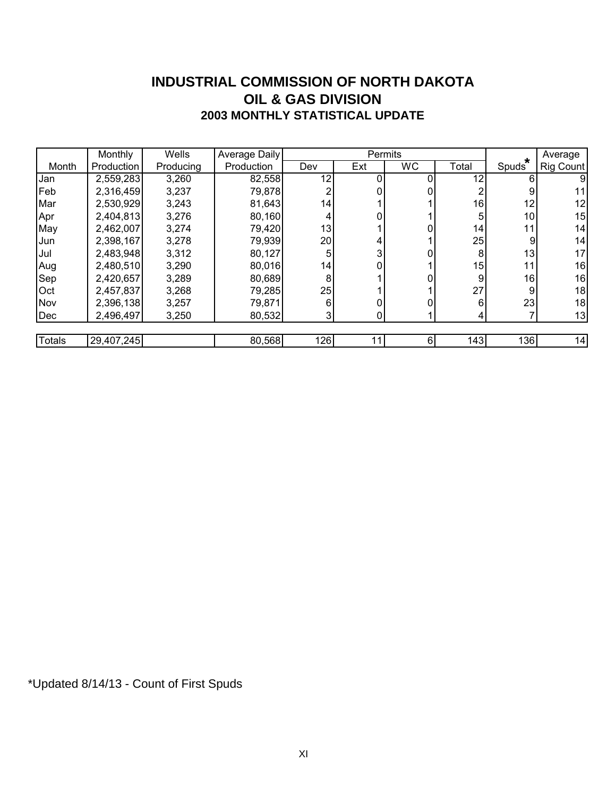#### **INDUSTRIAL COMMISSION OF NORTH DAKOTA 2003 MONTHLY STATISTICAL UPDATE OIL & GAS DIVISION**

|               | <b>Monthly</b> | Wells     | Average Daily |     | Permits |           |       |                               | Average   |
|---------------|----------------|-----------|---------------|-----|---------|-----------|-------|-------------------------------|-----------|
| Month         | Production     | Producing | Production    | Dev | Ext     | <b>WC</b> | Total | $\star$<br>Spuds <sup>®</sup> | Rig Count |
| Jan           | 2,559,283      | 3,260     | 82,558        | 12  |         |           | 12    | 6                             | 9         |
| Feb           | 2,316,459      | 3,237     | 79,878        |     |         |           |       | 9                             | 11        |
| Mar           | 2,530,929      | 3,243     | 81,643        | 14  |         |           | 16    | 12                            | 12        |
| Apr           | 2,404,813      | 3,276     | 80,160        | 4   |         |           | 5     | 10 <sup>1</sup>               | 15        |
| May           | 2,462,007      | 3,274     | 79,420        | 13  |         |           | 14    | 11                            | 14        |
| Jun           | 2,398,167      | 3,278     | 79,939        | 20  | 4       |           | 25    | 9                             | 14        |
| Jul           | 2,483,948      | 3,312     | 80,127        |     |         |           | 8     | 13                            | 17        |
| Aug           | 2,480,510      | 3,290     | 80,016        | 14  |         |           | 15    | 11                            | 16        |
| Sep           | 2,420,657      | 3,289     | 80,689        | 8   |         |           | 9     | 16                            | 16        |
| <b>Oct</b>    | 2,457,837      | 3,268     | 79,285        | 25  |         |           | 27    | 9                             | 18        |
| Nov           | 2,396,138      | 3,257     | 79,871        | 6   |         |           | 6     | 23                            | 18        |
| Dec           | 2,496,497      | 3,250     | 80,532        | 3   | 0       |           | 4     |                               | 13        |
|               |                |           |               |     |         |           |       |                               |           |
| <b>Totals</b> | 29,407,245     |           | 80,568        | 126 | 11      | 6         | 143   | 136                           | 14        |

\*Updated 8/14/13 - Count of First Spuds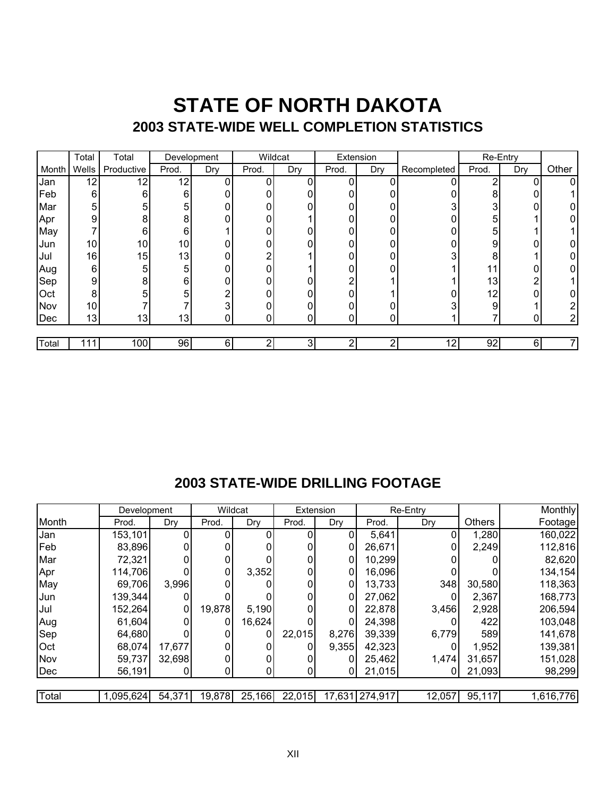## **STATE OF NORTH DAKOTA 2003 STATE-WIDE WELL COMPLETION STATISTICS**

|       | Total           | Total           | Development |     | Wildcat      |     | Extension |     |             | Re-Entry |     |       |
|-------|-----------------|-----------------|-------------|-----|--------------|-----|-----------|-----|-------------|----------|-----|-------|
| Month | <b>Wells</b>    | Productive      | Prod.       | Dry | Prod.        | Dry | Prod.     | Dry | Recompleted | Prod.    | Dry | Other |
| Jan   | 12              | 12 <sub>1</sub> | 12          | 0   | 0            |     | 0         | 0   |             | 2        | 0   | 0     |
| Feb   | 6               | 6               | 6           | 0   | 0            | 0   | 0         | 0   |             | 8        |     |       |
| Mar   | 5               | 5               | 5           | 0   | $\mathbf{0}$ | 0   | 0         |     | ◠           | 3        |     |       |
| Apr   | 9               | 8               | 8           | 0   | 0            |     | 0         | 0   |             | 5        |     |       |
| May   |                 | 6               | 6           |     | 0            | 0   | 0         |     |             | 5        |     |       |
| Jun   | 10              | 10 <sup>1</sup> | 10          | 0   | 0            | 0   | 0         | 0   |             | 9        | 0   |       |
| Jul   | 16              | 15              | 13          | 0   | n            |     | 0         |     |             | 8        |     |       |
| Aug   | 6               | 5               | 5           | 0   | 0            |     | 0         |     |             | 11       | 0   |       |
| Sep   | 9               | 8               | 6           | 0   | 0            | 0   | ⌒         |     |             | 13       | 2   |       |
| Oct   | 8               | 5               | 5           | 2   | 0            | 0   | U         |     |             | 12       | 0   |       |
| Nov   | 10 <sub>l</sub> |                 |             | 3   |              | 0   | 0         |     |             | 9        |     | ⌒     |
| Dec   | 13              | 13              | 13          | 0   | 0            | 0   | 0         |     |             |          |     | ⌒     |
|       |                 |                 |             |     |              |     |           |     |             |          |     |       |
| Total | 111I            | 100             | 96          | 6   | 2            | 3   | ◠         | ◠   | 12          | 92       | 6   |       |

## **2003 STATE-WIDE DRILLING FOOTAGE**

|            | Development |        |        | Wildcat | Extension |        |         | Re-Entry |               | Monthly   |
|------------|-------------|--------|--------|---------|-----------|--------|---------|----------|---------------|-----------|
| Month      | Prod.       | Dry    | Prod.  | Dry     | Prod.     | Dry    | Prod.   | Dry      | <b>Others</b> | Footage   |
| Jan        | 153,101     | 0      |        | O       |           |        | 5,641   | 0        | 1,280         | 160,022   |
| Feb        | 83,896      |        |        |         |           |        | 26,671  |          | 2,249         | 112,816   |
| Mar        | 72,321      |        |        |         |           |        | 10,299  |          |               | 82,620    |
| Apr        | 114,706     |        | 0      | 3,352   |           | 0      | 16,096  |          |               | 134,154   |
| May        | 69,706      | 3,996  |        |         |           |        | 13,733  | 348      | 30,580        | 118,363   |
| Jun        | 139,344     |        |        |         |           |        | 27,062  |          | 2,367         | 168,773   |
| Jul        | 152,264     | 0      | 19,878 | 5,190   |           |        | 22,878  | 3,456    | 2,928         | 206,594   |
| Aug        | 61,604      | 01     | 0      | 16,624  |           |        | 24,398  |          | 422           | 103,048   |
| Sep        | 64,680      |        | 0      | 0       | 22,015    | 8,276  | 39,339  | 6,779    | 589           | 141,678   |
| <b>Oct</b> | 68,074      | 17,677 |        |         |           | 9,355  | 42,323  |          | 1,952         | 139,381   |
| Nov        | 59,737      | 32,698 | 0      | 0       |           | 0      | 25,462  | 1,474    | 31,657        | 151,028   |
| Dec        | 56,191      | 0      | 0      | 0       |           | 0      | 21,015  |          | 21,093        | 98,299    |
|            |             |        |        |         |           |        |         |          |               |           |
| Total      | 1,095,624   | 54,371 | 19,878 | 25,166  | 22,015    | 17,631 | 274,917 | 12,057   | 95,117        | 1,616,776 |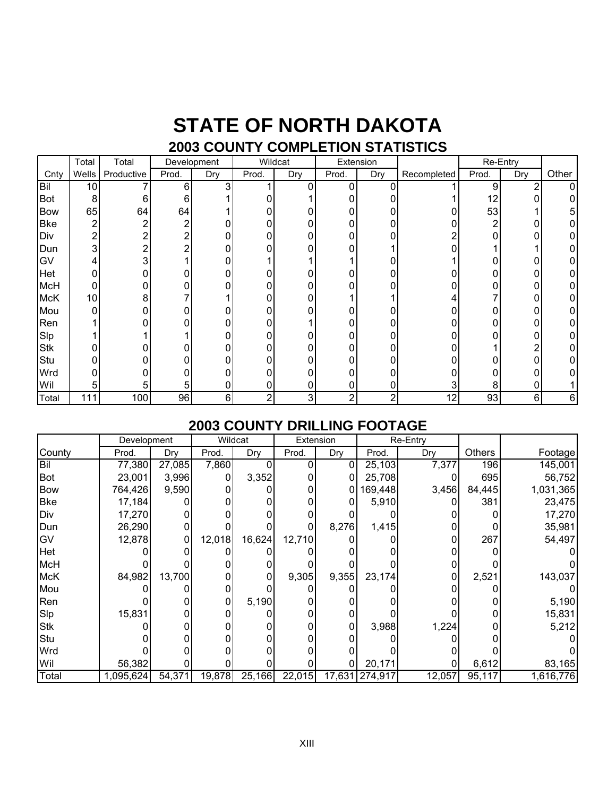## **STATE OF NORTH DAKOTA 2003 COUNTY COMPLETION STATISTICS**

#### Total Total Cnty | Wells | Productive | Prod. | Dry | Prod. | Dry | Prod. | Dry | Recompleted | Prod. | Dry | Other Bil | 10 | 7 | 6 | 3 | 1 | 0 | 0 | 0 | 0 | 1 | 9 | 2 | 0 Bot 8 6 6 1 0 1 0 0 1 12 0 0 Bow 65 64 64 1 0 0 0 0 0 53 1 5 Bke 2 2 2 0 0 0 0 0 0 2 0 0 Div | 2| 2| 2| 0| 0| 0| 0| 0| 2| 0| 0| 0 Dun 3 2 2 0 0 0 0 1 0 1 1 0 GV | 4| 3| 1| 0| 1| 1| 1| 0| 1| 0| 0| 0 Het 0 0 0 0 0 0 0 0 0 0 0 0 McH 0 0 0 0 0 0 0 0 0 0 0 0 McK | 10| 8| 7| 1| 0| 0| 1| 1| 4| 7| 0| 0 Mou 0 0 0 0 0 0 0 0 0 0 0 0 Ren 1 0 0 0 0 1 0 0 0 0 0 0 Slp 1 1 1 0 0 0 0 0 0 0 0 0 Stk 0 0 0 0 0 0 0 0 0 1 2 0 Stu 0 0 0 0 0 0 0 0 0 0 0 0 Wrd | 이 이 이 이 이 이 이 이 이 이 이 이 Wil | 5| 5| 5| 0| 0| 0| 0| 0| 3| 8| 0| 1 Total 111 100 96 6 2 3 2 2 12 93 6 6 Development | Wildcat | Extension | Re-Entry

## **2003 COUNTY DRILLING FOOTAGE**

|            | Development |        |        | Wildcat | Extension |       | Re-Entry       |        |        |           |
|------------|-------------|--------|--------|---------|-----------|-------|----------------|--------|--------|-----------|
| County     | Prod.       | Dry    | Prod.  | Dry     | Prod.     | Dry   | Prod.          | Dry    | Others | Footagel  |
| Bil        | 77,380      | 27,085 | 7,860  |         |           |       | 25,103         | 7,377  | 196    | 145,001   |
| <b>Bot</b> | 23,001      | 3,996  |        | 3,352   |           |       | 25,708         |        | 695    | 56,752    |
| <b>Bow</b> | 764,426     | 9,590  |        |         |           | 0     | 169,448        | 3,456  | 84,445 | 1,031,365 |
| <b>Bke</b> | 17,184      |        |        |         |           | 0     | 5,910          |        | 381    | 23,475    |
| Div        | 17,270      |        |        |         |           |       |                |        |        | 17,270    |
| Dun        | 26,290      |        |        |         |           | 8,276 | 1,415          |        |        | 35,981    |
| GV         | 12,878      | 0      | 12,018 | 16,624  | 12,710    |       |                |        | 267    | 54,497    |
| Het        |             |        |        |         |           |       |                |        |        |           |
| <b>McH</b> |             |        |        |         |           |       |                |        |        |           |
| <b>McK</b> | 84,982      | 13,700 |        |         | 9,305     | 9,355 | 23,174         |        | 2,521  | 143,037   |
| Mou        |             |        |        |         |           |       |                |        |        |           |
| Ren        |             |        |        | 5,190   |           |       |                |        |        | 5,190     |
| Slp        | 15,831      |        |        |         |           | 0     |                |        |        | 15,831    |
| <b>Stk</b> |             |        |        |         |           | 0     | 3,988          | 1,224  |        | 5,212     |
| Stu        |             |        |        |         |           |       |                |        |        |           |
| Wrd        |             |        |        |         |           |       |                |        |        |           |
| Wil        | 56,382      |        |        |         |           |       | 20,171         |        | 6,612  | 83,165    |
| Total      | 1,095,624   | 54,371 | 19,878 | 25,166  | 22,015    |       | 17,631 274,917 | 12,057 | 95,117 | 1,616,776 |